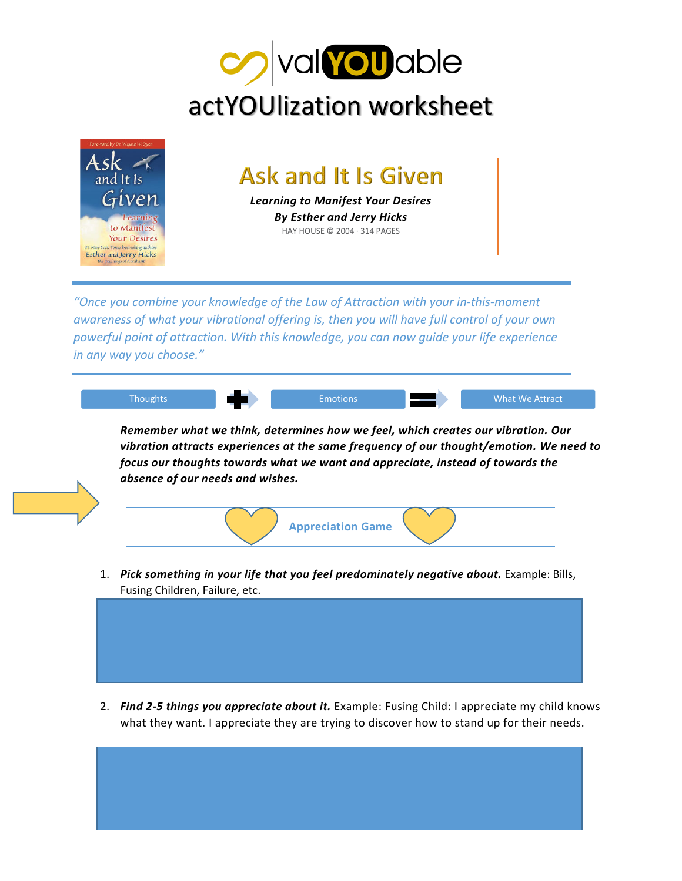



|    | Remember what we think, determines how we feel, which creates our vibration. Our                                                                                          |  |                          |  |  |
|----|---------------------------------------------------------------------------------------------------------------------------------------------------------------------------|--|--------------------------|--|--|
|    | vibration attracts experiences at the same frequency of our thought/emotion. We need to<br>focus our thoughts towards what we want and appreciate, instead of towards the |  |                          |  |  |
|    | absence of our needs and wishes.                                                                                                                                          |  |                          |  |  |
|    |                                                                                                                                                                           |  |                          |  |  |
|    |                                                                                                                                                                           |  |                          |  |  |
|    |                                                                                                                                                                           |  |                          |  |  |
|    |                                                                                                                                                                           |  |                          |  |  |
|    |                                                                                                                                                                           |  | <b>Appreciation Game</b> |  |  |
|    |                                                                                                                                                                           |  |                          |  |  |
| 1. | Pick something in your life that you feel predominately negative about. Example: Bills,                                                                                   |  |                          |  |  |

2. *Find 2-5 things you appreciate about it.* Example: Fusing Child: I appreciate my child knows what they want. I appreciate they are trying to discover how to stand up for their needs.